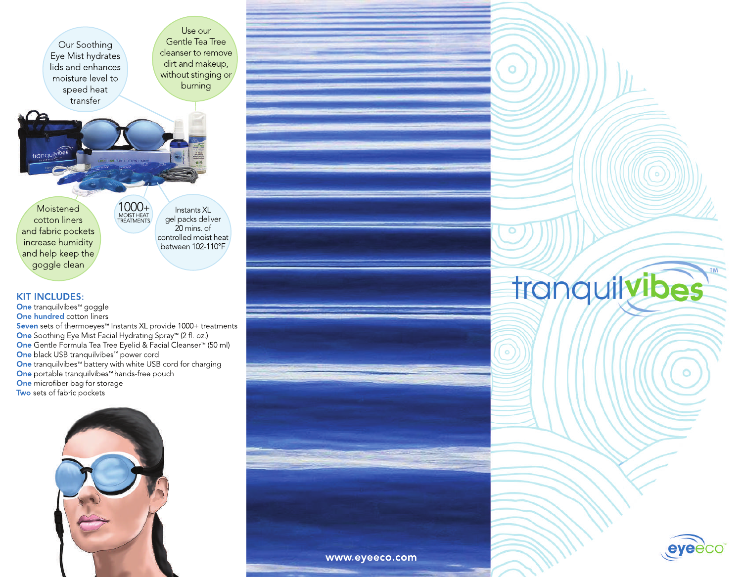Our Soothing Eye Mist hydrates lids and enhances moisture level to speed heat transfer

Use our Gentle Tea Tree cleanser to remove dirt and makeup, without stinging or burning

**Moistened** cotton liners and fabric pockets increase humidity and help keep the goggle clean

Instants XL gel packs deliver 20mins.of controlled moist heat between 102-110°F 1000+<br>MOIST HEAT

#### **KIT INCLUDES:**

**One** tranquilvibes™ goggle **One hundred cotton liners** Seven sets of thermoeyes™ Instants XL provide 1000+ treatments **One** Soothing Eye Mist Facial Hydrating Spray™ (2 fl. oz.) **One** Gentle Formula Tea Tree Eyelid & Facial Cleanser™ (50 ml) One black USB tranquilvibes™ power cord **One** tranquilvibes™ battery with white USB cord for charging **One** portable tranquilvibes™ hands-free pouch One microfiber bag for storage Two sets of fabric pockets



# tranguilvibes

 $\circ$ 

 $\ddot{\circ}$